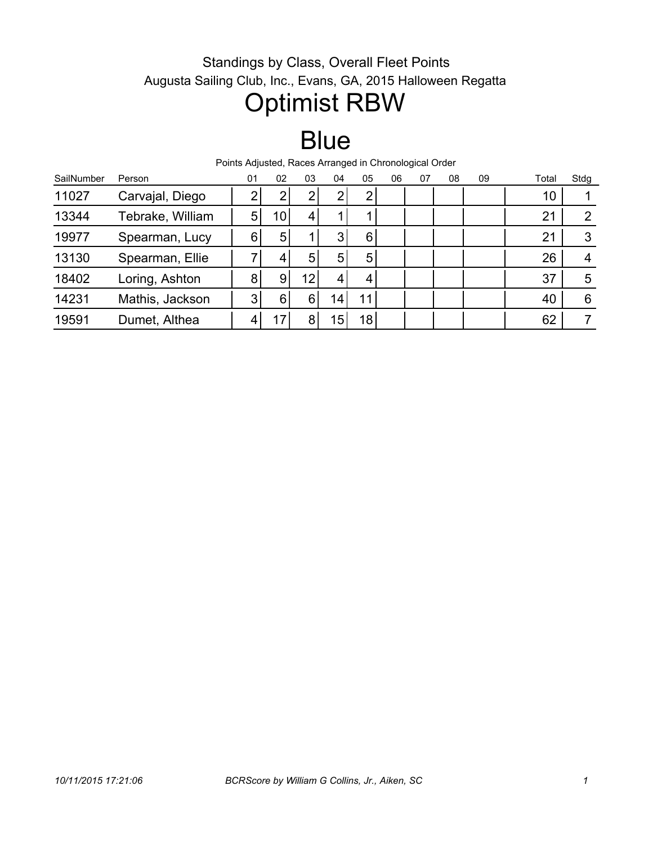#### Standings by Class, Overall Fleet Points Augusta Sailing Club, Inc., Evans, GA, 2015 Halloween Regatta

### Optimist RBW

## **Blue**

Points Adjusted, Races Arranged in Chronological Order

| SailNumber | Person           | 01 | 02 | 03 | 04              | 05              | 06 | 07 | 08 | 09 | Total | Stdg           |
|------------|------------------|----|----|----|-----------------|-----------------|----|----|----|----|-------|----------------|
| 11027      | Carvajal, Diego  |    | ◠  | ◠  | າ               | ◠               |    |    |    |    | 10    |                |
| 13344      | Tebrake, William | 5  | 10 | 4  |                 |                 |    |    |    |    | 21    | $\overline{2}$ |
| 19977      | Spearman, Lucy   | 6  | 5  |    | 3               | 6               |    |    |    |    | 21    | 3              |
| 13130      | Spearman, Ellie  |    | 4  | 5  | 5               | 5               |    |    |    |    | 26    | 4              |
| 18402      | Loring, Ashton   | 8  | 9  | 12 | 4               |                 |    |    |    |    | 37    | 5              |
| 14231      | Mathis, Jackson  | 3  | 6  | 6  | 14 <sub>1</sub> | 11              |    |    |    |    | 40    | 6              |
| 19591      | Dumet, Althea    |    |    | 8  | 15              | 18 <sub>1</sub> |    |    |    |    | 62    |                |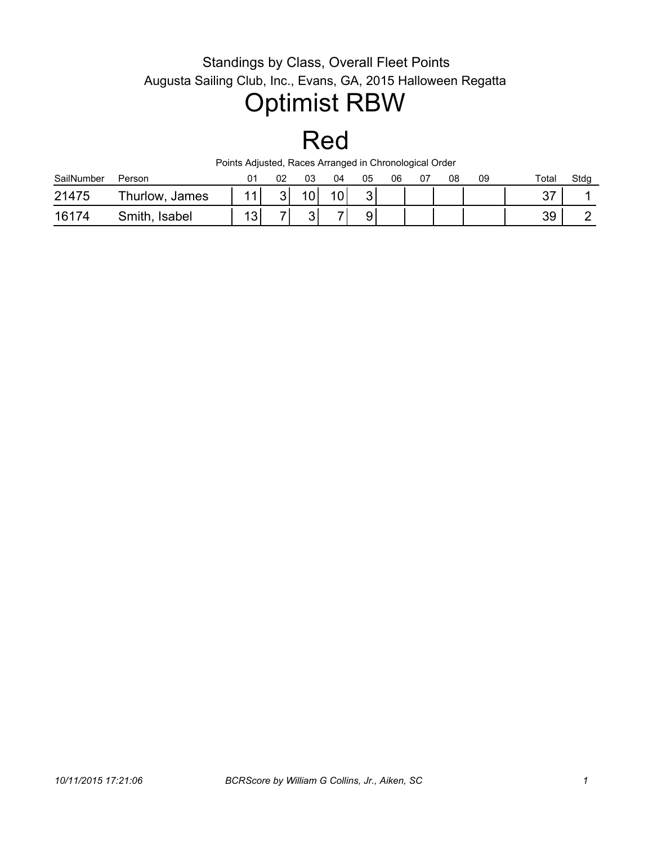#### Standings by Class, Overall Fleet Points Augusta Sailing Club, Inc., Evans, GA, 2015 Halloween Regatta

# Optimist RBW

#### Red

Points Adjusted, Races Arranged in Chronological Order

| SailNumber | Person                  |           | 02 | 03             | 04 | 05 | 06 | U7 | 08 | 09 | Total    | Stdg |
|------------|-------------------------|-----------|----|----------------|----|----|----|----|----|----|----------|------|
| 21475      | Thurlow,<br>James       |           |    | $\overline{0}$ |    | ົ  |    |    |    |    | 27<br>ັັ |      |
| 16174      | Smith,<br><b>Isabel</b> | 12<br>ں ، | -  | ົ<br>ັ         | –  | 9  |    |    |    |    | 39       |      |